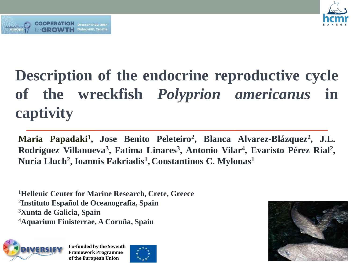

# **Description of the endocrine reproductive cycle of the wreckfish** *Polyprion americanus* **in captivity**

**Maria Papadaki<sup>1</sup> , Jose Benito Peleteiro<sup>2</sup> , Blanca Alvarez-Blázquez<sup>2</sup> , J.L. Rodríguez Villanueva<sup>3</sup> , Fatima Linares<sup>3</sup> , Antonio Vilar<sup>4</sup> , Evaristo Pérez Rial<sup>2</sup> , Nuria Lluch<sup>2</sup> , Ioannis Fakriadis<sup>1</sup> , Constantinos C. Mylonas<sup>1</sup>**

**Hellenic Center for Marine Research, Crete, Greece Instituto Español de Oceanografia, Spain Xunta de Galicia, Spain Aquarium Finisterrae, A Coruña, Spain** 

October 17-20, 2017 Dubrovnik, Croatia



**Co-funded by the Seventh Framework Programme of the European Union**



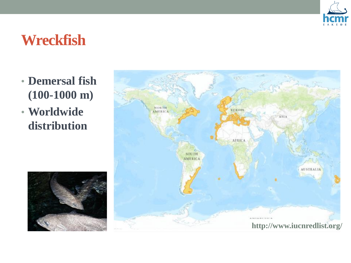

## **Wreckfish**

- **Demersal fish (100-1000 m)**
- **Worldwide distribution**



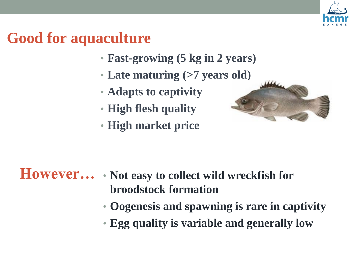

# **Good for aquaculture**

- **Fast-growing (5 kg in 2 years)**
- **Late maturing (>7 years old)**
- **Adapts to captivity**
- **High flesh quality**
- **High market price**



### • **Not easy to collect wild wreckfish for However…broodstock formation**

- **Oogenesis and spawning is rare in captivity**
- **Egg quality is variable and generally low**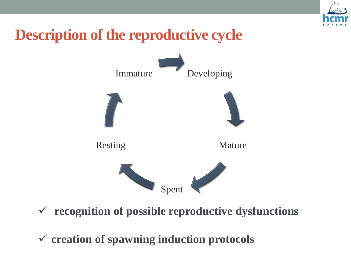

# **Description of the reproductive cycle**



**recognition of possible reproductive dysfunctions**

**creation of spawning induction protocols**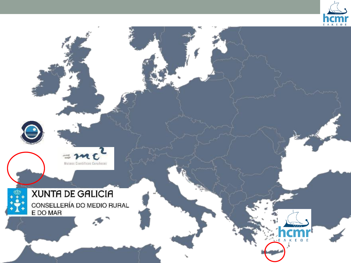

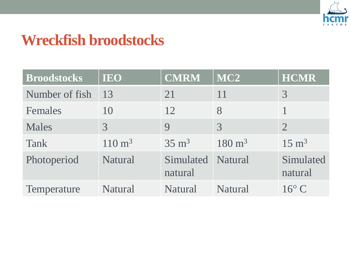

### **Wreckfish broodstocks**

| <b>Broodstocks</b> | <b>IEO</b>        | <b>CMRM</b>                  | MC <sub>2</sub>   | <b>HCMR</b>          |
|--------------------|-------------------|------------------------------|-------------------|----------------------|
| Number of fish     | 13                | 21                           | 11                | 3                    |
| Females            | 10                | 12                           | 8                 |                      |
| <b>Males</b>       | $\mathcal{E}$     | $\mathbf Q$                  | $\mathcal{R}$     | $\overline{2}$       |
| <b>Tank</b>        | $110 \text{ m}^3$ | $35 \text{ m}^3$             | $180 \text{ m}^3$ | $15 \text{ m}^3$     |
| Photoperiod        | <b>Natural</b>    | Simulated Natural<br>natural |                   | Simulated<br>natural |
| Temperature        | Natural           | Natural                      | <b>Natural</b>    | $16^{\circ}$ C       |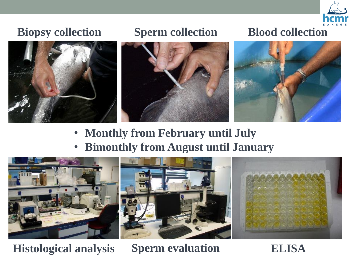

### **Biopsy collection Blood collection Blood collection**

### **Sperm collection**







- **Monthly from February until July**
- **Bimonthly from August until January**



**Histological analysis Sperm evaluation ELISA**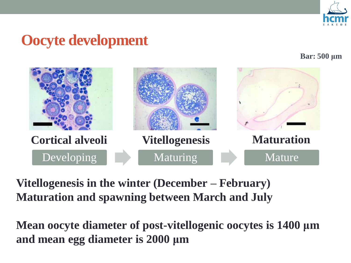

### **Oocyte development**

### **Bar: 500 μm**



**Vitellogenesis in the winter (December – February) Maturation and spawning between March and July** 

**Mean oocyte diameter of post-vitellogenic oocytes is 1400 μm and mean egg diameter is 2000 μm**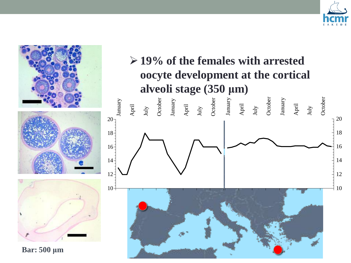

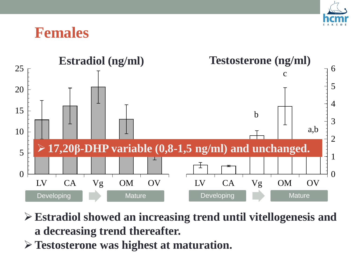![](_page_9_Picture_0.jpeg)

![](_page_9_Picture_1.jpeg)

![](_page_9_Figure_2.jpeg)

- **Estradiol showed an increasing trend until vitellogenesis and a decreasing trend thereafter.**
- **Testosterone was highest at maturation.**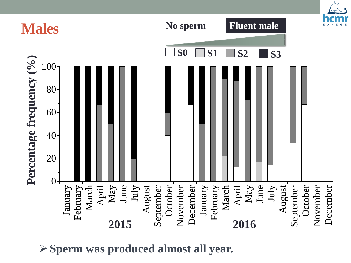![](_page_10_Figure_0.jpeg)

**Sperm was produced almost all year.**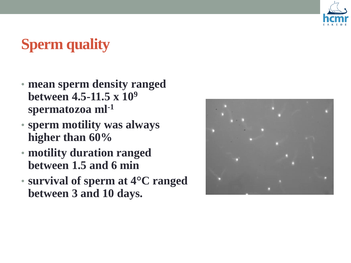![](_page_11_Picture_0.jpeg)

# **Sperm quality**

- **mean sperm density ranged between 4.5-11.5 x 10<sup>9</sup> spermatozoa ml-1**
- **sperm motility was always higher than 60%**
- **motility duration ranged between 1.5 and 6 min**
- **survival of sperm at 4°C ranged between 3 and 10 days.**

![](_page_11_Picture_6.jpeg)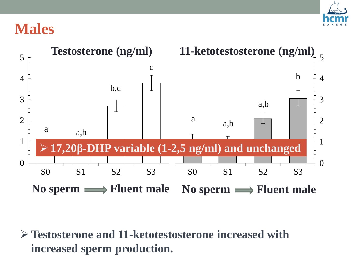![](_page_12_Picture_0.jpeg)

### **Males**

![](_page_12_Figure_2.jpeg)

**Testosterone and 11-ketotestosterone increased with increased sperm production.**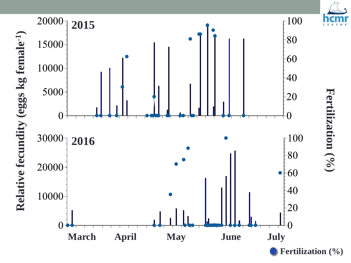![](_page_13_Figure_0.jpeg)

**Fertilization (%)**

![](_page_13_Figure_1.jpeg)

![](_page_13_Figure_2.jpeg)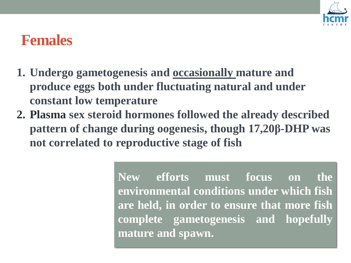![](_page_14_Picture_0.jpeg)

### **Females**

- **1. Undergo gametogenesis and occasionally mature and produce eggs both under fluctuating natural and under constant low temperature**
- **2. Plasma sex steroid hormones followed the already described pattern of change during oogenesis, though 17,20β-DHP was not correlated to reproductive stage of fish**

**New efforts must focus on the environmental conditions under which fish are held, in order to ensure that more fish complete gametogenesis and hopefully mature and spawn.**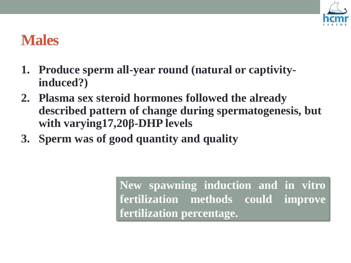![](_page_15_Picture_0.jpeg)

### **Males**

- **1. Produce sperm all-year round (natural or captivityinduced?)**
- **2. Plasma sex steroid hormones followed the already described pattern of change during spermatogenesis, but with varying17,20β-DHP levels**
- **3. Sperm was of good quantity and quality**

**New spawning induction and in vitro fertilization methods could improve fertilization percentage.**